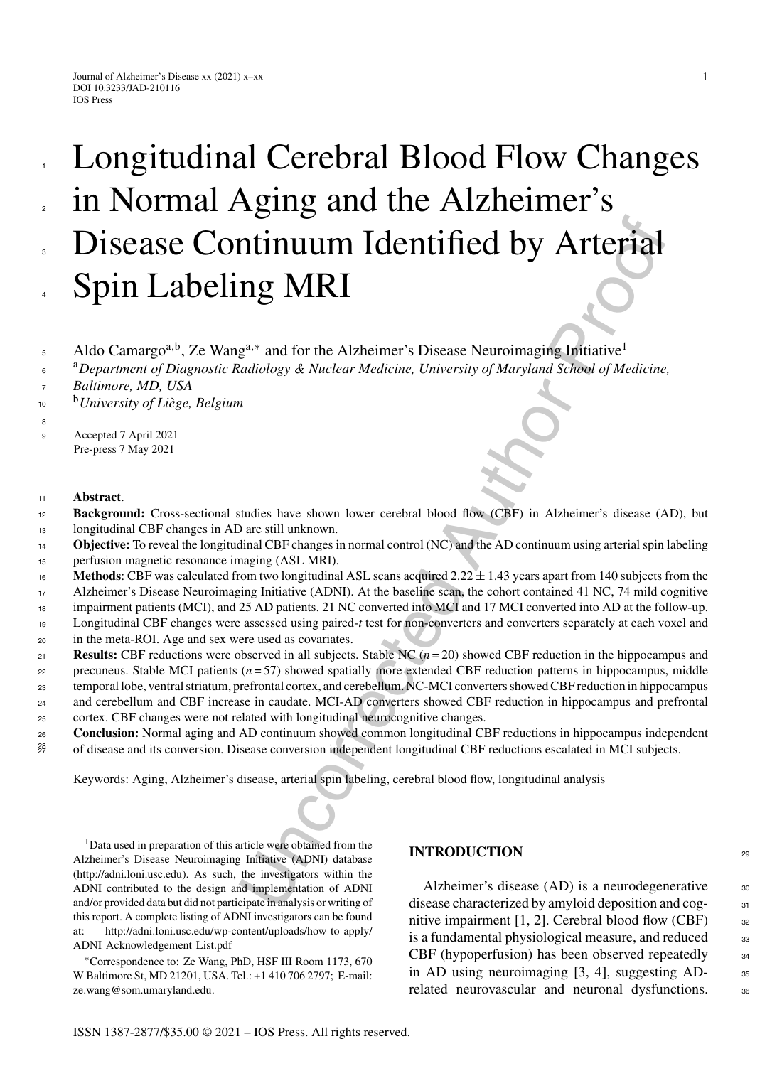# **ITAL SET AUTHOR CONTROVIDE SET AUTHER CONTROVIDED**<br>
11 **CONTROVIDE SET AUTHEM AUTHOR CONTROVIDED**<br>
11 **CONTROVIDE SET AUTHEM AUTHOR CONTROVIDED**<br>
12 **AUTHEM CONTROVIDE AUTHEM AUTHOR CONTROVIDED**<br>
12 **AUTHEM AUTHOR CONTROV** Longitudinal Cerebral Blood Flow Changes in Normal Aging and the Alzheimer's Disease Continuum Identified by Arterial Spin Labeling MRI 1 2 3 4

- Aldo Camargo<sup>a,b</sup>, Ze Wang<sup>a,∗</sup> and for the Alzheimer's Disease Neuroimaging Initiative<sup>1</sup>
- <sup>a</sup>*Department of Diagnostic Radiology & Nuclear Medicine, University of Maryland School of Medicine,* 6
- *Baltimore, MD, USA* 7
- <sup>b</sup>*University of Li`ege, Belgium* 10
- <sup>9</sup> Accepted 7 April 2021 Pre-press 7 May 2021

## <sup>11</sup> **Abstract**.

8

- **Background:** Cross-sectional studies have shown lower cerebral blood flow (CBF) in Alzheimer's disease (AD), but longitudinal CBF changes in AD are still unknown. 12 13
- **Objective:** To reveal the longitudinal CBF changes in normal control (NC) and the AD continuum using arterial spin labeling perfusion magnetic resonance imaging (ASL MRI). 14
- 15
- **Methods**: CBF was calculated from two longitudinal ASL scans acquired  $2.22 \pm 1.43$  years apart from 140 subjects from the 16
- Alzheimer's Disease Neuroimaging Initiative (ADNI). At the baseline scan, the cohort contained 41 NC, 74 mild cognitive 17
- impairment patients (MCI), and 25 AD patients. 21 NC converted into MCI and 17 MCI converted into AD at the follow-up. Longitudinal CBF changes were assessed using paired-*t* test for non-converters and converters separately at each voxel and 18 19
- in the meta-ROI. Age and sex were used as covariates. 20
- **Results:** CBF reductions were observed in all subjects. Stable NC (*n* = 20) showed CBF reduction in the hippocampus and 21
- precuneus. Stable MCI patients (*n* = 57) showed spatially more extended CBF reduction patterns in hippocampus, middle 22
- temporal lobe, ventral striatum, prefrontal cortex, and cerebellum. NC-MCI converters showed CBF reduction in hippocampus 23
- and cerebellum and CBF increase in caudate. MCI-AD converters showed CBF reduction in hippocampus and prefrontal 24
- cortex. CBF changes were not related with longitudinal neurocognitive changes. 25
- **Conclusion:** Normal aging and AD continuum showed common longitudinal CBF reductions in hippocampus independent 26
- of disease and its conversion. Disease conversion independent longitudinal CBF reductions escalated in MCI subjects. 27 28

Keywords: Aging, Alzheimer's disease, arterial spin labeling, cerebral blood flow, longitudinal analysis

1Data used in preparation of this article were obtained from the Alzheimer's Disease Neuroimaging Initiative (ADNI) database ([http://adni.loni.usc.edu\)](http://adni.loni.usc.edu). As such, the investigators within the ADNI contributed to the design and implementation of ADNI and/or provided data but did not participate in analysis or writing of this report. A complete listing of ADNI investigators can be found at: [http://adni.loni.usc.edu/wp-content/uploads/how](http://adni.loni.usc.edu/wp-content/uploads/how_to_apply/ADNI_Acknowledgement_List.pdf) to apply/ ADNI Acknowledgement List.pdf

∗Correspondence to: Ze Wang, PhD, HSF III Room 1173, 670 W Baltimore St, MD 21201, USA. Tel.: +1 410 706 2797; E-mail: [ze.wang@som.umaryland.edu](mailto:ze.wang@som.umaryland.edu).

# **INTRODUCTION** <sup>29</sup>

Alzheimer's disease  $(AD)$  is a neurodegenerative  $30$ disease characterized by amyloid deposition and cog- <sup>31</sup> nitive impairment  $[1, 2]$ . Cerebral blood flow (CBF)  $\qquad$  32 is a fundamental physiological measure, and reduced <sup>33</sup> CBF (hypoperfusion) has been observed repeatedly <sup>34</sup> in AD using neuroimaging  $[3, 4]$ , suggesting AD- $\frac{35}{10}$ related neurovascular and neuronal dysfunctions. 36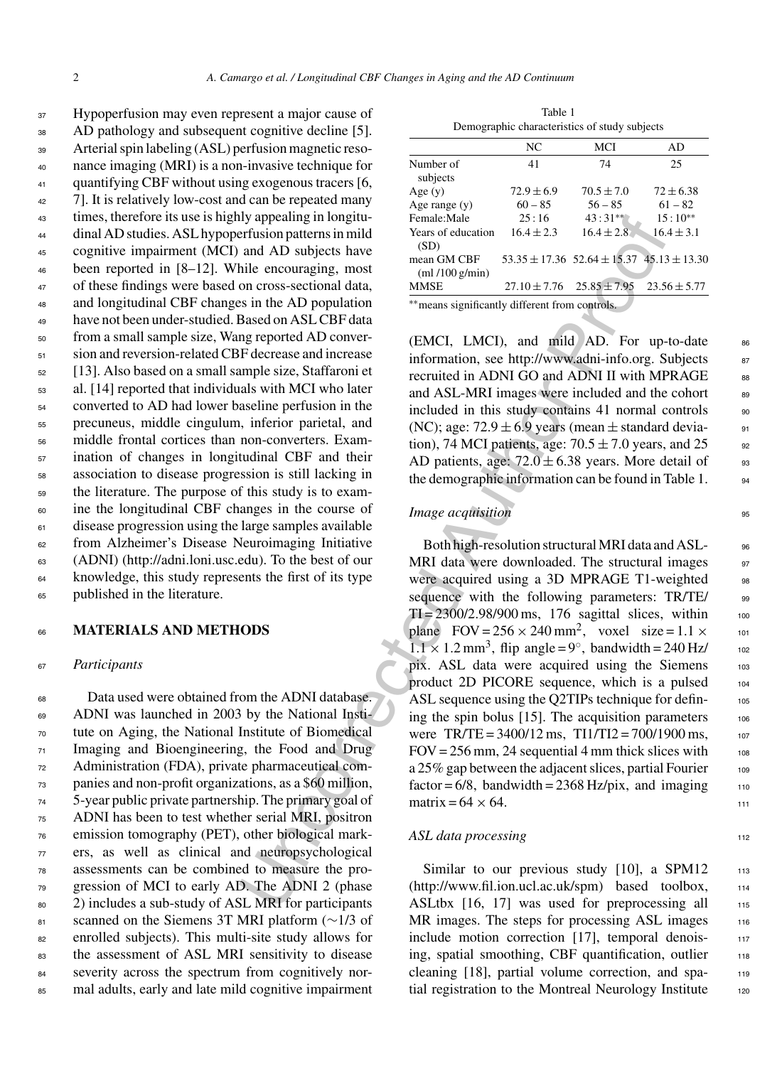Hypoperfusion may even represent a major cause of AD pathology and subsequent cognitive decline [5]. Arterial spin labeling (ASL) perfusion magnetic reso- nance imaging (MRI) is a non-invasive technique for 41 quantifying CBF without using exogenous tracers [6, 42 7]. It is relatively low-cost and can be repeated many times, therefore its use is highly appealing in longitu- dinal AD studies. ASL hypoperfusion patterns in mild cognitive impairment (MCI) and AD subjects have been reported in [8–12]. While encouraging, most of these findings were based on cross-sectional data, and longitudinal CBF changes in the AD population have not been under-studied. Based on ASL CBF data from a small sample size, Wang reported AD conver- sion and reversion-related CBF decrease and increase [13]. Also based on a small sample size, Staffaroni et al. [14] reported that individuals with MCI who later converted to AD had lower baseline perfusion in the precuneus, middle cingulum, inferior parietal, and middle frontal cortices than non-converters. Exam- ination of changes in longitudinal CBF and their association to disease progression is still lacking in the literature. The purpose of this study is to exam- ine the longitudinal CBF changes in the course of disease progression using the large samples available from Alzheimer's Disease Neuroimaging Initiative (ADNI) [\(http://adni.loni.usc.edu](http://adni.loni.usc.edu)). To the best of our knowledge, this study represents the first of its type published in the literature.

## <sup>66</sup> **MATERIALS AND METHODS**

## <sup>67</sup> *Participants*

 Data used were obtained from the ADNI database. ADNI was launched in 2003 by the National Insti- tute on Aging, the National Institute of Biomedical Imaging and Bioengineering, the Food and Drug Administration (FDA), private pharmaceutical com- panies and non-profit organizations, as a \$60 million, 5-year public private partnership. The primary goal of ADNI has been to test whether serial MRI, positron emission tomography (PET), other biological mark- ers, as well as clinical and neuropsychological assessments can be combined to measure the pro- gression of MCI to early AD. The ADNI 2 (phase 80 2) includes a sub-study of ASL MRI for participants 81 scanned on the Siemens 3T MRI platform (∼1/3 of enrolled subjects). This multi-site study allows for the assessment of ASL MRI sensitivity to disease 84 severity across the spectrum from cognitively nor-mal adults, early and late mild cognitive impairment

| Table 1                                       |
|-----------------------------------------------|
| Demographic characteristics of study subjects |

|                                   | NC             | MCI                                                   | AD               |
|-----------------------------------|----------------|-------------------------------------------------------|------------------|
| Number of<br>subjects             | 41             | 74                                                    | 25               |
| Age $(y)$                         | $72.9 \pm 6.9$ | $70.5 \pm 7.0$                                        | $72 + 6.38$      |
| Age range $(y)$                   | $60 - 85$      | $56 - 85$                                             | $61 - 82$        |
| Female:Male                       | 25:16          | $43:31**$                                             | $15:10**$        |
| Years of education<br>(SD)        | $16.4 \pm 2.3$ | $16.4 \pm 2.8$                                        | $16.4 + 3.1$     |
| mean GM CBF<br>$m1/100$ g/min $)$ |                | $53.35 \pm 17.36$ $52.64 \pm 15.37$ $45.13 \pm 13.30$ |                  |
| <b>MMSE</b>                       |                | $27.10 \pm 7.76$ $25.85 \pm 7.95$                     | $23.56 \pm 5.77$ |
|                                   |                |                                                       |                  |

∗∗means significantly different from controls.

(EMCI, LMCI), and mild AD. For up-to-date 86 information, see http://www.adni-info.org. Subjects 87 recruited in ADNI GO and ADNI II with MPRAGE 88 and ASL-MRI images were included and the cohort 89 included in this study contains 41 normal controls (NC); age:  $72.9 \pm 6.9$  years (mean  $\pm$  standard deviation), 74 MCI patients, age:  $70.5 \pm 7.0$  years, and 25 92 AD patients, age:  $72.0 \pm 6.38$  years. More detail of 93 the demographic information can be found in Table 1.  $\qquad \qquad$ 94

# *Image acquisition*

uy appearing non-<br>
Ferminishing Formula Familie Familie Familie Familie Formula Max of education 16.4+2.3 16.4<br>
and AD subjects have on the CBD<br>
in the encouraging, most mean GM CBF 33.35+17.36 25.64+18.37 48.13<br>
in the D Both high-resolution structural MRI data and ASL- 96 MRI data were downloaded. The structural images 97 were acquired using a 3D MPRAGE T1-weighted 98 sequence with the following parameters: TR/TE/ 99  $TI = 2300/2.98/900$  ms, 176 sagittal slices, within 100 plane  $FOV = 256 \times 240$  mm<sup>2</sup>, voxel size =  $1.1 \times 101$  $1.1 \times 1.2$  mm<sup>3</sup>, flip angle = 9°, bandwidth = 240 Hz/ 102 pix. ASL data were acquired using the Siemens 103 product 2D PICORE sequence, which is a pulsed 104 ASL sequence using the Q2TIPs technique for defining the spin bolus  $[15]$ . The acquisition parameters  $106$ were  $TR/TE = 3400/12$  ms,  $T11/TI2 = 700/1900$  ms, 107  $FOV = 256$  mm, 24 sequential 4 mm thick slices with  $108$ a  $25\%$  gap between the adjacent slices, partial Fourier  $108$  $factor = 6/8$ , bandwidth = 2368 Hz/pix, and imaging  $110$ matrix =  $64 \times 64$ . 111

## *ASL data processing* 112

Similar to our previous study  $[10]$ , a SPM12 113 (http://www.fil.ion.ucl.ac.uk/spm) based toolbox, <sup>114</sup> ASLtbx  $[16, 17]$  was used for preprocessing all  $115$ MR images. The steps for processing ASL images 116 include motion correction [17], temporal denoising, spatial smoothing, CBF quantification, outlier 118 cleaning [18], partial volume correction, and spatial registration to the Montreal Neurology Institute 120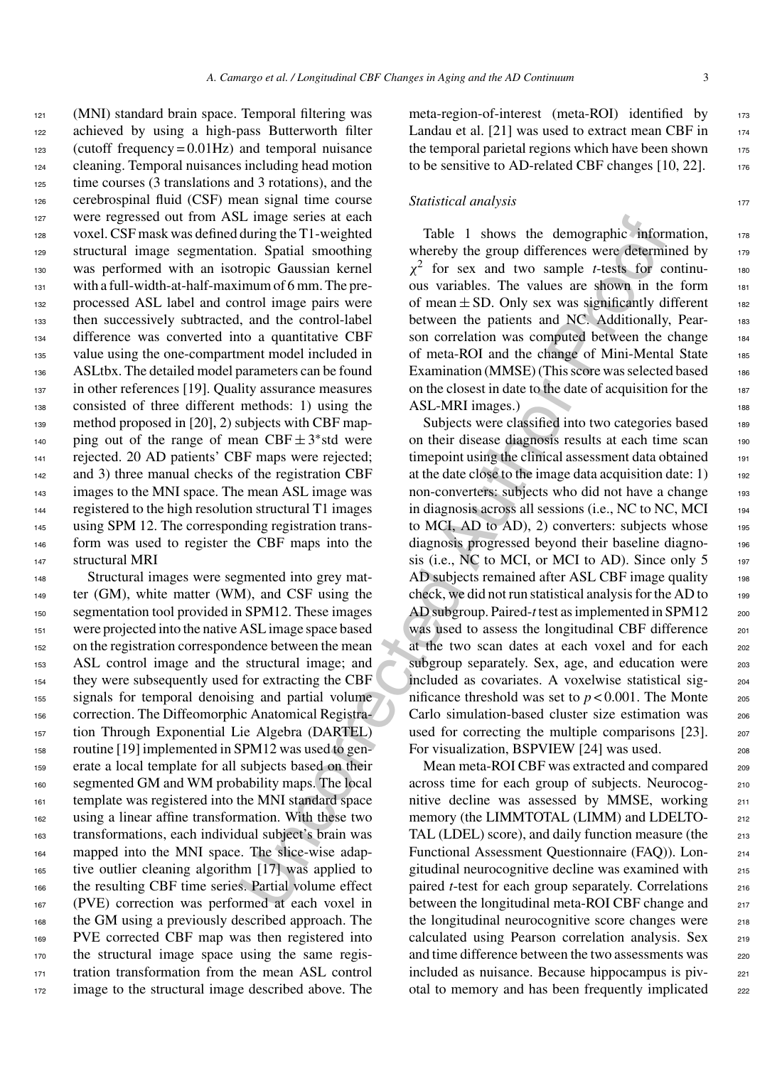(MNI) standard brain space. Temporal filtering was achieved by using a high-pass Butterworth filter (cutoff frequency = 0.01Hz) and temporal nuisance cleaning. Temporal nuisances including head motion time courses (3 translations and 3 rotations), and the cerebrospinal fluid (CSF) mean signal time course were regressed out from ASL image series at each voxel. CSF mask was defined during the T1-weighted structural image segmentation. Spatial smoothing was performed with an isotropic Gaussian kernel 131 with a full-width-at-half-maximum of 6 mm. The pre- processed ASL label and control image pairs were then successively subtracted, and the control-label difference was converted into a quantitative CBF value using the one-compartment model included in ASLtbx. The detailed model parameters can be found in other references [19]. Quality assurance measures consisted of three different methods: 1) using the method proposed in [20], 2) subjects with CBF map-<sub>140</sub> ping out of the range of mean CBF  $\pm$  3<sup>\*</sup> std were rejected. 20 AD patients' CBF maps were rejected; and 3) three manual checks of the registration CBF <sup>143</sup> images to the MNI space. The mean ASL image was registered to the high resolution structural T1 images 145 using SPM 12. The corresponding registration trans- form was used to register the CBF maps into the structural MRI

 Structural images were segmented into grey mat-149 ter (GM), white matter (WM), and CSF using the segmentation tool provided in SPM12. These images were projected into the native ASL image space based on the registration correspondence between the mean ASL control image and the structural image; and they were subsequently used for extracting the CBF signals for temporal denoising and partial volume correction. The Diffeomorphic Anatomical Registra- tion Through Exponential Lie Algebra (DARTEL) routine [19] implemented in SPM12 was used to gen- erate a local template for all subjects based on their segmented GM and WM probability maps. The local template was registered into the MNI standard space using a linear affine transformation. With these two transformations, each individual subject's brain was mapped into the MNI space. The slice-wise adap- tive outlier cleaning algorithm [17] was applied to the resulting CBF time series. Partial volume effect (PVE) correction was performed at each voxel in the GM using a previously described approach. The PVE corrected CBF map was then registered into the structural image space using the same regis-171 tration transformation from the mean ASL control image to the structural image described above. The

meta-region-of-interest (meta-ROI) identified by 173 Landau et al.  $[21]$  was used to extract mean CBF in  $174$ the temporal parietal regions which have been shown  $175$ to be sensitive to AD-related CBF changes  $[10, 22]$ . 176

#### **Statistical analysis** 177

Table 1 shows the demographic information, 178 whereby the group differences were determined by 179  $\chi^2$  for sex and two sample *t*-tests for continuous variables. The values are shown in the form <sup>181</sup> of mean  $\pm$  SD. Only sex was significantly different 182 between the patients and NC. Additionally, Pear-<br>183 son correlation was computed between the change 184 of meta-ROI and the change of Mini-Mental State 185 Examination (MMSE) (This score was selected based  $186$ on the closest in date to the date of acquisition for the 187 ASL-MRI images.)

L mage senes at each complete hand more streak at each on Spatial moothing the T1-weighted Table 1 shows the demographic information on Spatial smoothing whereby the group differences were determinion of form. The pre-<br>to Subjects were classified into two categories based 189 on their disease diagnosis results at each time scan 190 timepoint using the clinical assessment data obtained 191 at the date close to the image data acquisition date:  $1$ ) 192 non-converters: subjects who did not have a change 193 in diagnosis across all sessions (i.e., NC to NC, MCI 194 to MCI, AD to AD), 2) converters: subjects whose 195 diagnosis progressed beyond their baseline diagno-<br>196 sis (i.e., NC to MCI, or MCI to AD). Since only  $5 \qquad \qquad$ 197 AD subjects remained after ASL CBF image quality 198 check, we did not run statistical analysis for the AD to 199 AD subgroup. Paired-*t* test as implemented in SPM12 200 was used to assess the longitudinal CBF difference 201 at the two scan dates at each voxel and for each <sup>202</sup> subgroup separately. Sex, age, and education were 203 included as covariates. A voxelwise statistical sig- <sup>204</sup> nificance threshold was set to  $p < 0.001$ . The Monte 205 Carlo simulation-based cluster size estimation was 206 used for correcting the multiple comparisons  $[23]$ . 207 For visualization, BSPVIEW [24] was used. 208

Mean meta-ROI CBF was extracted and compared 209 across time for each group of subjects. Neurocog- <sup>210</sup> nitive decline was assessed by MMSE, working 211 memory (the LIMMTOTAL (LIMM) and LDELTO-<br>212 TAL (LDEL) score), and daily function measure (the 213 Functional Assessment Questionnaire (FAQ)). Lon- <sup>214</sup> gitudinal neurocognitive decline was examined with <sup>215</sup> paired *t*-test for each group separately. Correlations 216 between the longitudinal meta-ROI CBF change and 217 the longitudinal neurocognitive score changes were 218 calculated using Pearson correlation analysis. Sex 219 and time difference between the two assessments was 220 included as nuisance. Because hippocampus is piv-<br>221 otal to memory and has been frequently implicated 222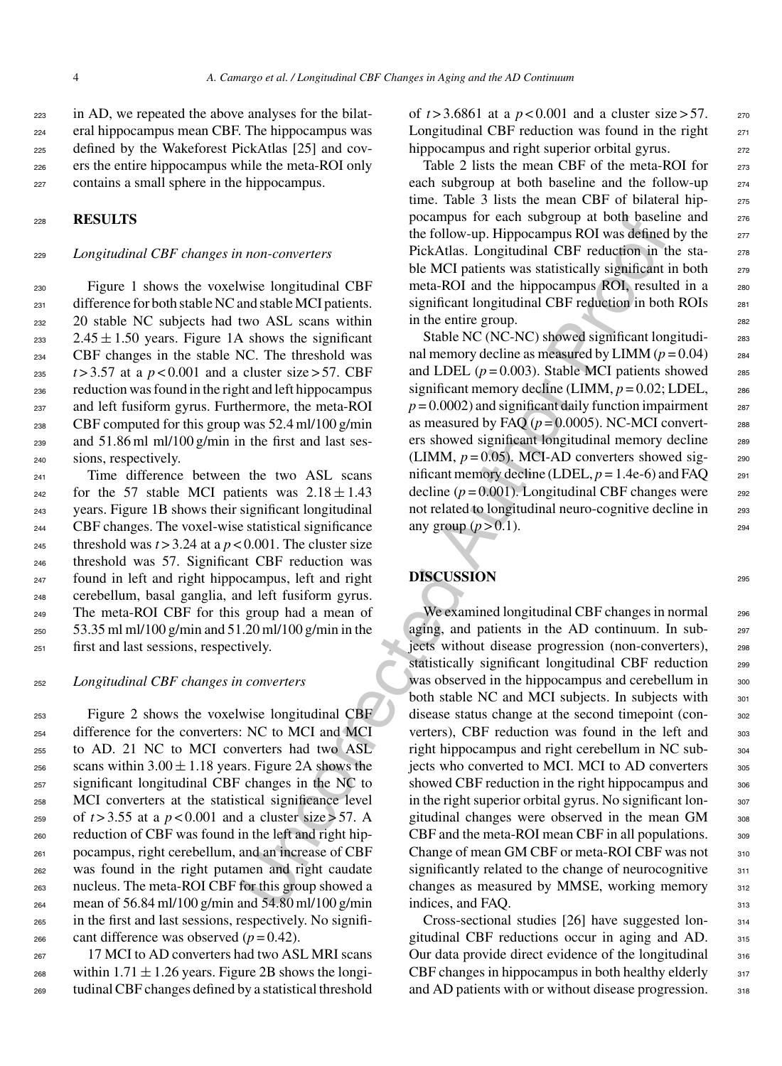in AD, we repeated the above analyses for the bilat- eral hippocampus mean CBF. The hippocampus was defined by the Wakeforest PickAtlas [25] and cov- ers the entire hippocampus while the meta-ROI only contains a small sphere in the hippocampus.

<sup>228</sup> **RESULTS**

### <sup>229</sup> *Longitudinal CBF changes in non-converters*

 Figure 1 shows the voxelwise longitudinal CBF 231 difference for both stable NC and stable MCI patients. 20 stable NC subjects had two ASL scans within 233 2.45  $\pm$  1.50 years. Figure 1A shows the significant CBF changes in the stable NC. The threshold was  $t > 3.57$  at a  $p < 0.001$  and a cluster size  $> 57$ . CBF reduction was found in the right and left hippocampus and left fusiform gyrus. Furthermore, the meta-ROI CBF computed for this group was 52.4 ml/100 g/min and 51.86 ml ml/100 g/min in the first and last ses-sions, respectively.

 Time difference between the two ASL scans <sup>242</sup> for the 57 stable MCI patients was  $2.18 \pm 1.43$  years. Figure 1B shows their significant longitudinal CBF changes. The voxel-wise statistical significance 245 threshold was  $t > 3.24$  at a  $p < 0.001$ . The cluster size threshold was 57. Significant CBF reduction was found in left and right hippocampus, left and right cerebellum, basal ganglia, and left fusiform gyrus. The meta-ROI CBF for this group had a mean of 53.35 ml ml/100 g/min and 51.20 ml/100 g/min in the first and last sessions, respectively.

<sup>252</sup> *Longitudinal CBF changes in converters*

 Figure 2 shows the voxelwise longitudinal CBF difference for the converters: NC to MCI and MCI to AD. 21 NC to MCI converters had two ASL <sup>256</sup> scans within  $3.00 \pm 1.18$  years. Figure 2A shows the significant longitudinal CBF changes in the NC to MCI converters at the statistical significance level of  $t > 3.55$  at a  $p < 0.001$  and a cluster size  $> 57$ . A reduction of CBF was found in the left and right hip- pocampus, right cerebellum, and an increase of CBF was found in the right putamen and right caudate nucleus. The meta-ROI CBF for this group showed a mean of 56.84 ml/100 g/min and 54.80 ml/100 g/min in the first and last sessions, respectively. No signifi- $_{266}$  cant difference was observed ( $p = 0.42$ ).

267 17 MCI to AD converters had two ASL MRI scans <sup>268</sup> within  $1.71 \pm 1.26$  years. Figure 2B shows the longi-<sup>269</sup> tudinal CBF changes defined by a statistical threshold of *t* > 3.6861 at a *p* < 0.001 and a cluster size > 57. <sup>270</sup> Longitudinal CBF reduction was found in the right  $271$ hippocampus and right superior orbital gyrus.  $272$ 

Table 2 lists the mean CBF of the meta-ROI for  $273$ each subgroup at both baseline and the follow-up 274 time. Table 3 lists the mean CBF of bilateral hippocampus for each subgroup at both baseline and <sup>276</sup> the follow-up. Hippocampus ROI was defined by the  $277$ PickAtlas. Longitudinal CBF reduction in the stable MCI patients was statistically significant in both 279 meta-ROI and the hippocampus ROI, resulted in a 280 significant longitudinal CBF reduction in both ROIs 281 in the entire group.

Stable NC (NC-NC) showed significant longitudi-<br>283 nal memory decline as measured by LIMM  $(p=0.04)$  284 and LDEL  $(p = 0.003)$ . Stable MCI patients showed  $285$ significant memory decline (LIMM,  $p = 0.02$ ; LDEL, 286  $p = 0.0002$ ) and significant daily function impairment 287 as measured by FAQ  $(p = 0.0005)$ . NC-MCI converters showed significant longitudinal memory decline 289 (LIMM,  $p = 0.05$ ). MCI-AD converters showed significant memory decline (LDEL,  $p = 1.4e-6$ ) and FAQ  $_{291}$ decline  $(p = 0.001)$ . Longitudinal CBF changes were 292 not related to longitudinal neuro-cognitive decline in 293 any group  $(p > 0.1)$ .

# **DISCUSSION** <sup>295</sup>

1 non-converters<br>
(accessored auto-up. Hippocampus ROI was defined<br>
interaction in the left scheme end state and the Hippocampus ROI was defined<br>
into the Dick Alta Longitudinal CBF reduction in the<br>
wise longitudinal CBF We examined longitudinal CBF changes in normal 296 aging, and patients in the AD continuum. In subjects without disease progression (non-converters), <sup>298</sup> statistically significant longitudinal CBF reduction 299 was observed in the hippocampus and cerebellum in 300 both stable NC and MCI subjects. In subjects with 301 disease status change at the second timepoint (con-<br>302 verters), CBF reduction was found in the left and 303 right hippocampus and right cerebellum in NC sub-<br>304 jects who converted to MCI. MCI to AD converters 305 showed CBF reduction in the right hippocampus and  $306$ in the right superior orbital gyrus. No significant longitudinal changes were observed in the mean GM 308  $CBF$  and the meta-ROI mean CBF in all populations.  $309$ Change of mean GM CBF or meta-ROI CBF was not 310 significantly related to the change of neurocognitive  $311$ changes as measured by MMSE, working memory 312 indices, and FAQ. 313

> Cross-sectional studies [26] have suggested lon- <sup>314</sup> gitudinal CBF reductions occur in aging and AD.  $315$ Our data provide direct evidence of the longitudinal <sup>316</sup> CBF changes in hippocampus in both healthy elderly  $317$ and AD patients with or without disease progression. 318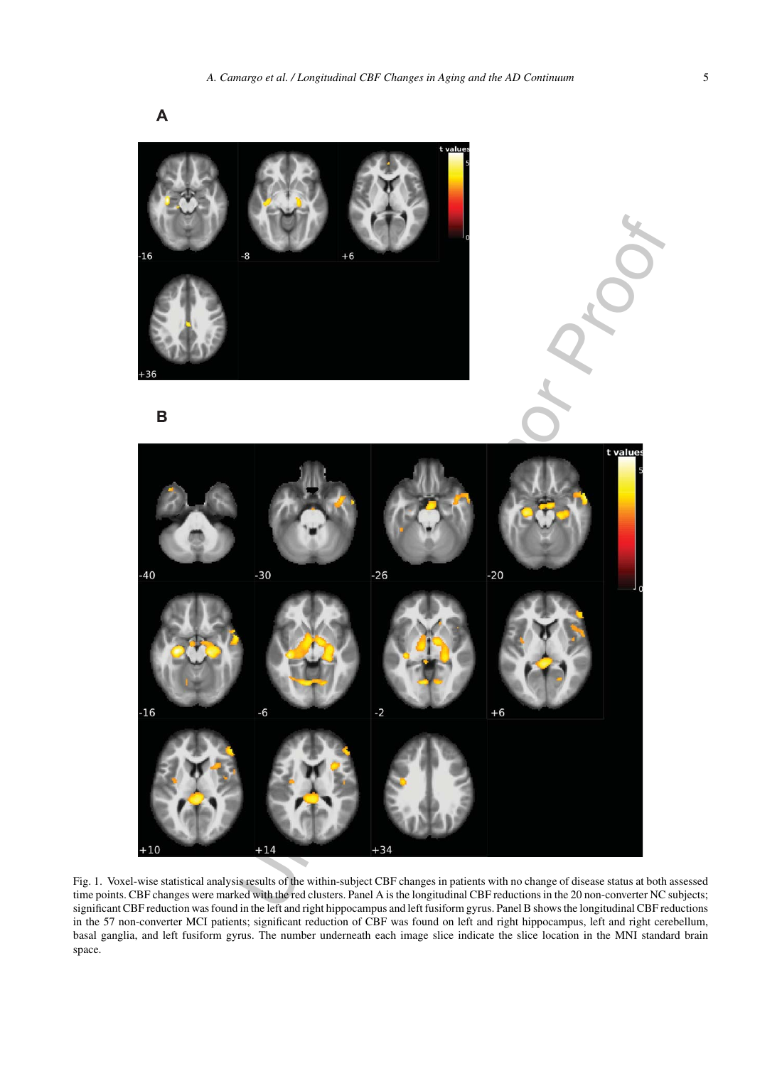

Fig. 1. Voxel-wise statistical analysis results of the within-subject CBF changes in patients with no change of disease status at both assessed time points. CBF changes were marked with the red clusters. Panel A is the longitudinal CBF reductions in the 20 non-converter NC subjects; significant CBF reduction was found in the left and right hippocampus and left fusiform gyrus. Panel B shows the longitudinal CBF reductions in the 57 non-converter MCI patients; significant reduction of CBF was found on left and right hippocampus, left and right cerebellum, basal ganglia, and left fusiform gyrus. The number underneath each image slice indicate the slice location in the MNI standard brain space.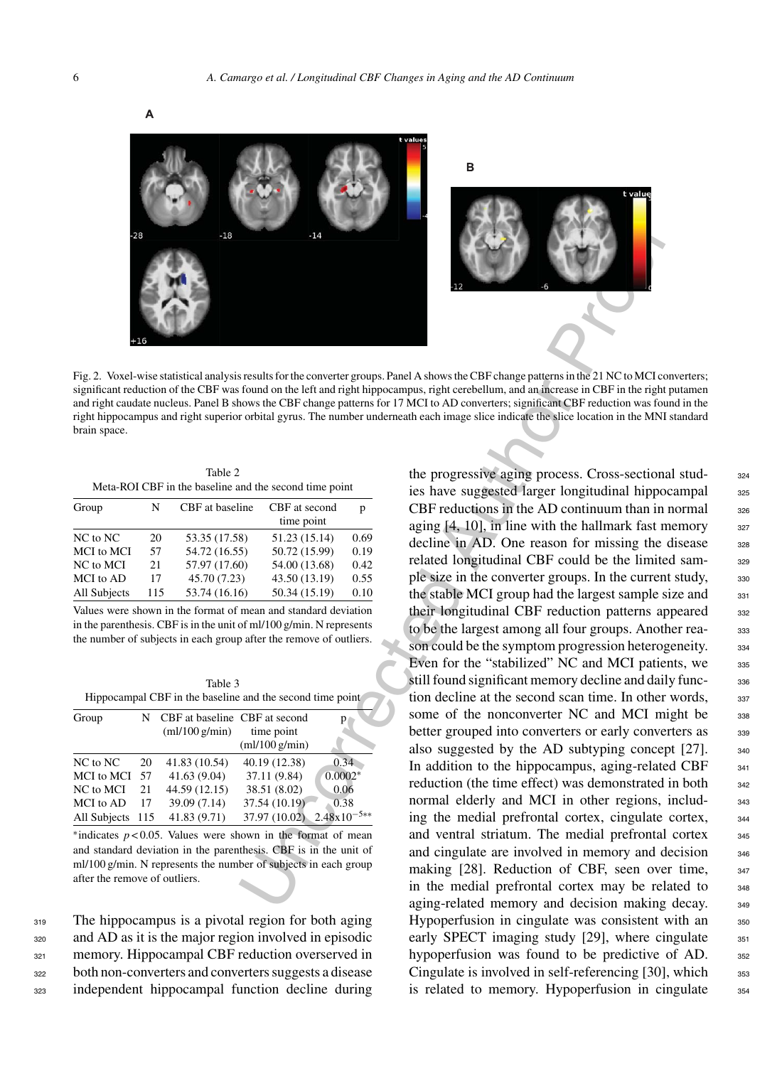

Fig. 2. Voxel-wise statistical analysis results for the converter groups. Panel A shows the CBF change patterns in the 21 NC to MCI converters; significant reduction of the CBF was found on the left and right hippocampus, right cerebellum, and an increase in CBF in the right putamen and right caudate nucleus. Panel B shows the CBF change patterns for 17 MCI to AD converters; significant CBF reduction was found in the right hippocampus and right superior orbital gyrus. The number underneath each image slice indicate the slice location in the MNI standard brain space.

| Table 2                                                |
|--------------------------------------------------------|
| Meta-ROI CBF in the baseline and the second time point |

| p    |
|------|
|      |
| 0.69 |
| 0.19 |
| 0.42 |
| 0.55 |
| 0.10 |
|      |

Values were shown in the format of mean and standard deviation in the parenthesis. CBF is in the unit of ml/100 g/min. N represents the number of subjects in each group after the remove of outliers.

| Table 3                                                   |
|-----------------------------------------------------------|
| Hippocampal CBF in the baseline and the second time point |

| Group        |     | N CBF at baseline CBF at second<br>$m!/100$ g/min) | time point      | р                       |
|--------------|-----|----------------------------------------------------|-----------------|-------------------------|
|              |     |                                                    | $m!/100$ g/min) |                         |
| NC to NC     | 20  | 41.83 (10.54)                                      | 40.19 (12.38)   | 0.34                    |
| MCI to MCI   | .57 | 41.63 (9.04)                                       | 37.11 (9.84)    | $0.0002*$               |
| NC to MCI    | 21  | 44.59 (12.15)                                      | 38.51 (8.02)    | 0.06                    |
| MCI to AD    | 17  | 39.09 (7.14)                                       | 37.54 (10.19)   | 0.38                    |
| All Subjects | 115 | 41.83 (9.71)                                       | 37.97 (10.02)   | $2.48 \times 10^{-5**}$ |

∗indicates *p* < 0.05. Values were shown in the format of mean and standard deviation in the parenthesis. CBF is in the unit of ml/100 g/min. N represents the number of subjects in each group after the remove of outliers.

319 The hippocampus is a pivotal region for both aging and AD as it is the major region involved in episodic memory. Hippocampal CBF reduction overserved in both non-converters and converters suggests a disease independent hippocampal function decline during

34<br>
Sessills for the converter groups. Panel A shows the CBF change patterns in the 21 NC to MCI contours that can digital high this<br>photomeons the CBF change patterns (if  $Y$  MCI to AD converters, significant GBF relatio the progressive aging process. Cross-sectional stud- 324 ies have suggested larger longitudinal hippocampal 325 CBF reductions in the AD continuum than in normal  $326$ aging  $[4, 10]$ , in line with the hallmark fast memory  $327$ decline in AD. One reason for missing the disease 328 related longitudinal CBF could be the limited sample size in the converter groups. In the current study,  $330$ the stable MCI group had the largest sample size and 331 their longitudinal CBF reduction patterns appeared 332 to be the largest among all four groups. Another rea-<br>333 son could be the symptom progression heterogeneity.  $334$ Even for the "stabilized" NC and MCI patients, we  $335$ still found significant memory decline and daily func-<br>336 tion decline at the second scan time. In other words,  $337$ some of the nonconverter NC and MCI might be 338 better grouped into converters or early converters as 339 also suggested by the AD subtyping concept  $[27]$ .  $\frac{340}{240}$ In addition to the hippocampus, aging-related CBF  $_{341}$ reduction (the time effect) was demonstrated in both 342 normal elderly and MCI in other regions, includ-<br>343 ing the medial prefrontal cortex, cingulate cortex,  $344$ and ventral striatum. The medial prefrontal cortex 345 and cingulate are involved in memory and decision  $_{346}$ making [28]. Reduction of CBF, seen over time, 347 in the medial prefrontal cortex may be related to  $_{348}$ aging-related memory and decision making decay. 349 Hypoperfusion in cingulate was consistent with an 350 early SPECT imaging study  $[29]$ , where cingulate  $351$ hypoperfusion was found to be predictive of AD. 352 Cingulate is involved in self-referencing  $[30]$ , which  $353$ is related to memory. Hypoperfusion in cingulate 354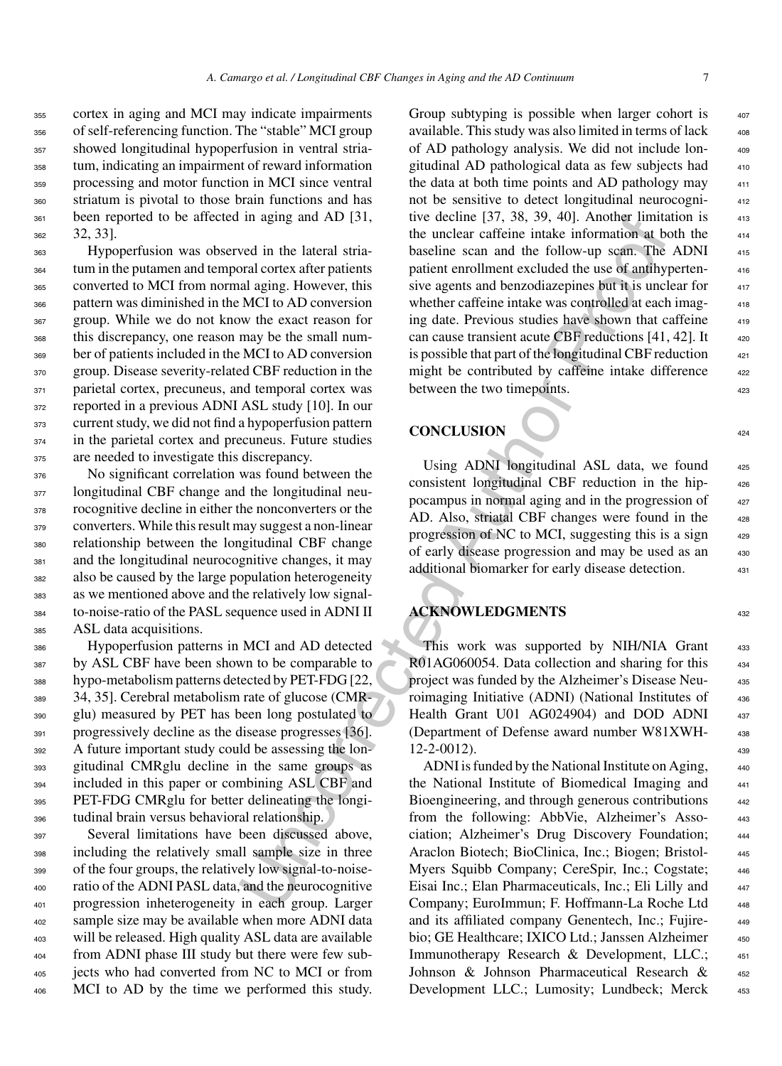cortex in aging and MCI may indicate impairments of self-referencing function. The "stable" MCI group showed longitudinal hypoperfusion in ventral stria- tum, indicating an impairment of reward information processing and motor function in MCI since ventral striatum is pivotal to those brain functions and has been reported to be affected in aging and AD [31, 32, 33].

 Hypoperfusion was observed in the lateral stria- tum in the putamen and temporal cortex after patients converted to MCI from normal aging. However, this pattern was diminished in the MCI to AD conversion group. While we do not know the exact reason for this discrepancy, one reason may be the small num- ber of patients included in the MCI to AD conversion group. Disease severity-related CBF reduction in the 371 parietal cortex, precuneus, and temporal cortex was 372 reported in a previous ADNI ASL study [10]. In our current study, we did not find a hypoperfusion pattern in the parietal cortex and precuneus. Future studies are needed to investigate this discrepancy.

 No significant correlation was found between the 377 longitudinal CBF change and the longitudinal neu- rocognitive decline in either the nonconverters or the converters. While this result may suggest a non-linear relationship between the longitudinal CBF change and the longitudinal neurocognitive changes, it may also be caused by the large population heterogeneity as we mentioned above and the relatively low signal- to-noise-ratio of the PASL sequence used in ADNI II ASL data acquisitions.

 Hypoperfusion patterns in MCI and AD detected 387 by ASL CBF have been shown to be comparable to hypo-metabolism patterns detected by PET-FDG [22, 34, 35]. Cerebral metabolism rate of glucose (CMR- glu) measured by PET has been long postulated to progressively decline as the disease progresses [36]. A future important study could be assessing the lon- gitudinal CMRglu decline in the same groups as included in this paper or combining ASL CBF and PET-FDG CMRglu for better delineating the longi-tudinal brain versus behavioral relationship.

 Several limitations have been discussed above, including the relatively small sample size in three of the four groups, the relatively low signal-to-noise- ratio of the ADNI PASL data, and the neurocognitive progression inheterogeneity in each group. Larger sample size may be available when more ADNI data will be released. High quality ASL data are available from ADNI phase III study but there were few sub- jects who had converted from NC to MCI or from MCI to AD by the time we performed this study.

in aging and AD [31, twe decline [37, 38, 39, 40). Another [10m]<br>
we muchar carries the inclusion at the lateral strain the lateral strain the lateral strain the lateral strain the lateral strain and the follow-up scan. T Group subtyping is possible when larger cohort is available. This study was also limited in terms of lack of AD pathology analysis. We did not include lon- <sup>409</sup> gitudinal AD pathological data as few subjects had <sup>410</sup> the data at both time points and AD pathology may not be sensitive to detect longitudinal neurocogni- <sup>412</sup> tive decline  $[37, 38, 39, 40]$ . Another limitation is  $413$ the unclear caffeine intake information at both the baseline scan and the follow-up scan. The ADNI 415 patient enrollment excluded the use of antihypertensive agents and benzodiazepines but it is unclear for whether caffeine intake was controlled at each imag-<br>418 ing date. Previous studies have shown that caffeine can cause transient acute CBF reductions  $[41, 42]$ . It  $420$ is possible that part of the longitudinal CBF reduction might be contributed by caffeine intake difference between the two timepoints.

## **CONCLUSION** <sup>424</sup>

Using ADNI longitudinal ASL data, we found 425 consistent longitudinal CBF reduction in the hip- <sup>426</sup> pocampus in normal aging and in the progression of AD. Also, striatal CBF changes were found in the progression of NC to MCI, suggesting this is a sign of early disease progression and may be used as an additional biomarker for early disease detection. 431

# **ACKNOWLEDGMENTS** <sup>432</sup>

This work was supported by NIH/NIA Grant 433 R01AG060054. Data collection and sharing for this 434 project was funded by the Alzheimer's Disease Neu-<br>435 roimaging Initiative (ADNI) (National Institutes of 436 Health Grant U01 AG024904) and DOD ADNI 437 (Department of Defense award number W81XWH- <sup>438</sup>  $12-2-0012$ ).

ADNI is funded by the National Institute on Aging, the National Institute of Biomedical Imaging and Bioengineering, and through generous contributions from the following: AbbVie, Alzheimer's Asso- <sup>443</sup> ciation; Alzheimer's Drug Discovery Foundation; <sup>444</sup> Araclon Biotech; BioClinica, Inc.; Biogen; Bristol- <sup>445</sup> Myers Squibb Company; CereSpir, Inc.; Cogstate; 446 Eisai Inc.; Elan Pharmaceuticals, Inc.; Eli Lilly and Company; EuroImmun; F. Hoffmann-La Roche Ltd <sup>448</sup> and its affiliated company Genentech, Inc.; Fujire- 449 bio; GE Healthcare; IXICO Ltd.; Janssen Alzheimer 450 Immunotherapy Research & Development, LLC.; 451 Johnson & Johnson Pharmaceutical Research & 452 Development LLC.; Lumosity; Lundbeck; Merck 453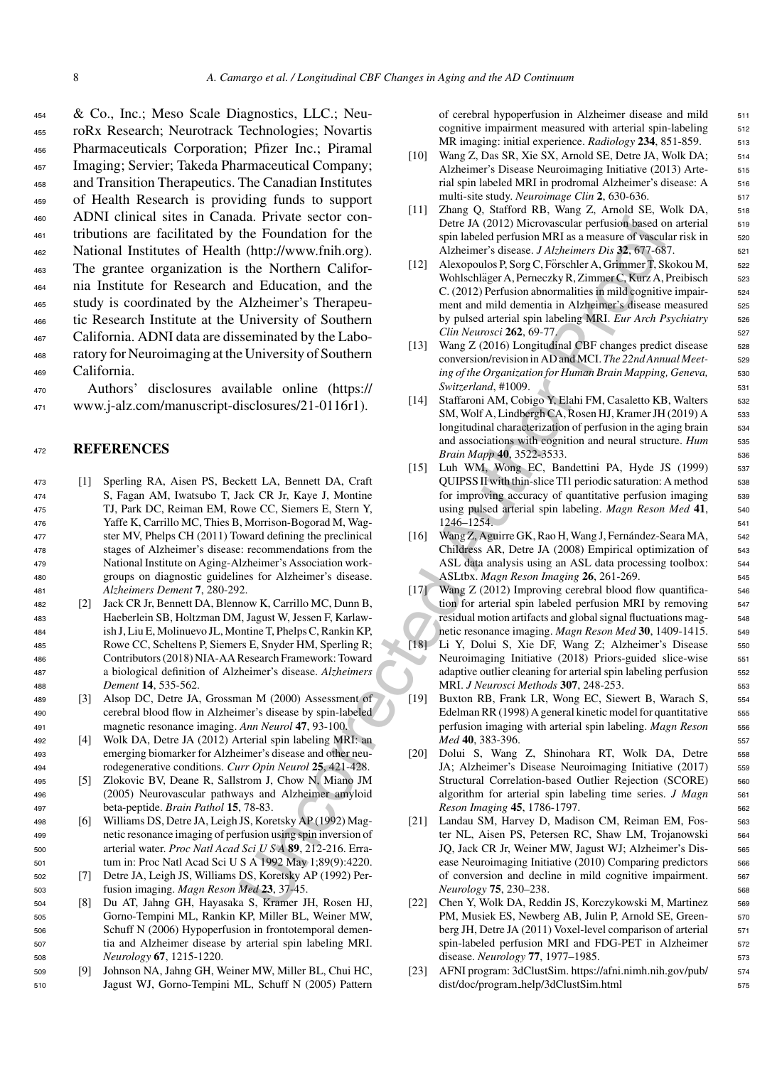dia. Privite secto[r](https://www.j-alz.com/manuscript-disclosures/21-0116r1) controls in the Uncorrected Authority period (of the Uncorrected Authority (Fig. 1). However, the Case Methanney Mathemater Schemer Street (http://www.frih.org). Alexandro Properties Case 14/abineme St & Co., Inc.; Meso Scale Diagnostics, LLC.; Neu- roRx Research; Neurotrack Technologies; Novartis Pharmaceuticals Corporation; Pfizer Inc.; Piramal Imaging; Servier; Takeda Pharmaceutical Company; and Transition Therapeutics. The Canadian Institutes of Health Research is providing funds to support ADNI clinical sites in Canada. Private sector con- tributions are facilitated by the Foundation for the National Institutes of Health (http://www.fnih.org). The grantee organization is the Northern Califor- nia Institute for Research and Education, and the study is coordinated by the Alzheimer's Therapeu- tic Research Institute at the University of Southern California. ADNI data are disseminated by the Labo- ratory for Neuroimaging at the University of Southern California.

<sup>470</sup> Authors' disclosures available online (https:// <sup>471</sup> www.j-alz.com/manuscript-disclosures/21-0116r1).

#### <sup>472</sup> **REFERENCES**

- <sup>473</sup> [1] Sperling RA, Aisen PS, Beckett LA, Bennett DA, Craft <sup>474</sup> S, Fagan AM, Iwatsubo T, Jack CR Jr, Kaye J, Montine <sup>475</sup> TJ, Park DC, Reiman EM, Rowe CC, Siemers E, Stern Y, <sup>476</sup> Yaffe K, Carrillo MC, Thies B, Morrison-Bogorad M, Wag-<sup>477</sup> ster MV, Phelps CH (2011) Toward defining the preclinical <sup>478</sup> stages of Alzheimer's disease: recommendations from the <sup>479</sup> National Institute on Aging-Alzheimer's Association work-<sup>480</sup> groups on diagnostic guidelines for Alzheimer's disease. <sup>481</sup> *Alzheimers Dement* **7**, 280-292.
- <sup>482</sup> [2] Jack CR Jr, Bennett DA, Blennow K, Carrillo MC, Dunn B, <sup>483</sup> Haeberlein SB, Holtzman DM, Jagust W, Jessen F, Karlaw-<sup>484</sup> ish J, Liu E, Molinuevo JL, Montine T, Phelps C, Rankin KP, <sup>485</sup> Rowe CC, Scheltens P, Siemers E, Snyder HM, Sperling R; <sup>486</sup> Contributors (2018) NIA-AA Research Framework: Toward <sup>487</sup> a biological definition of Alzheimer's disease. *Alzheimers* <sup>488</sup> *Dement* **14**, 535-562.
- <sup>489</sup> [3] Alsop DC, Detre JA, Grossman M (2000) Assessment of <sup>490</sup> cerebral blood flow in Alzheimer's disease by spin-labeled <sup>491</sup> magnetic resonance imaging. *Ann Neurol* **47**, 93-100.
- <sup>492</sup> [4] Wolk DA, Detre JA (2012) Arterial spin labeling MRI: an <sup>493</sup> emerging biomarker for Alzheimer's disease and other neu-<sup>494</sup> rodegenerative conditions. *Curr Opin Neurol* **25**, 421-428.
- <sup>495</sup> [5] Zlokovic BV, Deane R, Sallstrom J, Chow N, Miano JM <sup>496</sup> (2005) Neurovascular pathways and Alzheimer amyloid <sup>497</sup> beta-peptide. *Brain Pathol* **15**, 78-83.
- <sup>498</sup> [6] Williams DS, Detre JA, Leigh JS, Koretsky AP (1992) Mag-<sup>499</sup> netic resonance imaging of perfusion using spin inversion of <sup>500</sup> arterial water. *Proc Natl Acad SciUSA* **89**, 212-216. Erra-<sup>501</sup> tum in: Proc Natl Acad SciUSA 1992 May 1;89(9):4220.
- <sup>502</sup> [7] Detre JA, Leigh JS, Williams DS, Koretsky AP (1992) Per-<sup>503</sup> fusion imaging. *Magn Reson Med* **23**, 37-45.
- <sup>504</sup> [8] Du AT, Jahng GH, Hayasaka S, Kramer JH, Rosen HJ, <sup>505</sup> Gorno-Tempini ML, Rankin KP, Miller BL, Weiner MW, <sup>506</sup> Schuff N (2006) Hypoperfusion in frontotemporal demen-<sup>507</sup> tia and Alzheimer disease by arterial spin labeling MRI. <sup>508</sup> *Neurology* **67**, 1215-1220.
- <sup>509</sup> [9] Johnson NA, Jahng GH, Weiner MW, Miller BL, Chui HC, <sup>510</sup> Jagust WJ, Gorno-Tempini ML, Schuff N (2005) Pattern

of cerebral hypoperfusion in Alzheimer disease and mild 511 cognitive impairment measured with arterial spin-labeling 512 MR imaging: initial experience. *Radiology* 234, 851-859. 513

- [10] Wang Z, Das SR, Xie SX, Arnold SE, Detre JA, Wolk DA; 514 Alzheimer's Disease Neuroimaging Initiative (2013) Arte-<br>515 rial spin labeled MRI in prodromal Alzheimer's disease: A 516 multi-site study. *Neuroimage Clin* 2, 630-636. 517
- [11] Zhang Q, Stafford RB, Wang Z, Arnold SE, Wolk DA, 518 Detre JA (2012) Microvascular perfusion based on arterial 519 spin labeled perfusion MRI as a measure of vascular risk in 520 Alzheimer's disease. *J Alzheimers Dis* **32**, 677-687. <sup>521</sup>
- [12] Alexopoulos P, Sorg C, Förschler A, Grimmer T, Skokou M, s22 Wohlschläger A, Perneczky R, Zimmer C, Kurz A, Preibisch s23 C. (2012) Perfusion abnormalities in mild cognitive impair-<br>524 ment and mild dementia in Alzheimer's disease measured 525 by pulsed arterial spin labeling MRI. *Eur Arch Psychiatry* 526 *Clin Neurosci* **262**, 69-77. <sup>527</sup>
- [13] Wang Z (2016) Longitudinal CBF changes predict disease 528 conversion/revision in AD and MCI. *The 22nd Annual Meet-* 529 *ing of the Organization for Human Brain Mapping, Geneva,* 530 *Switzerland*, #1009. 531
- [14] Staffaroni AM, Cobigo Y, Elahi FM, Casaletto KB, Walters 532 SM, Wolf A, Lindbergh CA, Rosen HJ, Kramer JH (2019) A 533 longitudinal characterization of perfusion in the aging brain 534 and associations with cognition and neural structure. *Hum* 535 *Brain Mapp* **40**, 3522-3533. 536
- [15] Luh WM, Wong EC, Bandettini PA, Hyde JS (1999) 537 QUIPSS II with thin-slice TI1 periodic saturation: A method 538 for improving accuracy of quantitative perfusion imaging 539 using pulsed arterial spin labeling. *Magn Reson Med* **41**, <sup>540</sup> 1246–1254. <sup>541</sup>
- [16] Wang Z, Aguirre GK, Rao H, Wang J, Fernández-Seara MA, 542 Childress AR, Detre JA (2008) Empirical optimization of 543 ASL data analysis using an ASL data processing toolbox: 544 ASLtbx. *Magn Reson Imaging* **26**, 261-269. <sup>545</sup>
- [17] Wang Z (2012) Improving cerebral blood flow quantifica-<br>546 tion for arterial spin labeled perfusion MRI by removing 547 residual motion artifacts and global signal fluctuations mag- <sup>548</sup> netic resonance imaging. *Magn Reson Med* 30, 1409-1415. 549
- [18] Li Y, Dolui S, Xie DF, Wang Z; Alzheimer's Disease 550 Neuroimaging Initiative (2018) Priors-guided slice-wise 551 adaptive outlier cleaning for arterial spin labeling perfusion 552 MRI. *J Neurosci Methods* **307**, 248-253. <sup>553</sup>
- [19] Buxton RB, Frank LR, Wong EC, Siewert B, Warach S, 554 Edelman RR (1998) A general kinetic model for quantitative 555 perfusion imaging with arterial spin labeling. *Magn Reson* 556 *Med* **40**, 383-396. 557
- [20] Dolui S, Wang Z, Shinohara RT, Wolk DA, Detre 558 JA; Alzheimer's Disease Neuroimaging Initiative (2017) 559 Structural Correlation-based Outlier Rejection (SCORE) 560 algorithm for arterial spin labeling time series. *J Magn* 561 *Reson Imaging* **45**, 1786-1797. <sup>562</sup>
- [21] Landau SM, Harvey D, Madison CM, Reiman EM, Fos- 563 ter NL, Aisen PS, Petersen RC, Shaw LM, Trojanowski 564 JQ, Jack CR Jr, Weiner MW, Jagust WJ; Alzheimer's Dis- <sup>565</sup> ease Neuroimaging Initiative (2010) Comparing predictors 566 of conversion and decline in mild cognitive impairment. <sup>567</sup> *Neurology* **75**, 230–238. <sup>568</sup>
- [22] Chen Y, Wolk DA, Reddin JS, Korczykowski M, Martinez 569 PM, Musiek ES, Newberg AB, Julin P, Arnold SE, Green- 570 berg JH, Detre JA (2011) Voxel-level comparison of arterial 571 spin-labeled perfusion MRI and FDG-PET in Alzheimer 572 disease. *Neurology* **77**, 1977–1985. <sup>573</sup>
- [23] AFNI program: 3dClustSim. [https://afni.nimh.nih.gov/pub/](https://afni.nimh.nih.gov/pub/dist/doc/program_help/3dClustSim.html) <sup>574</sup> dist/doc/program\_help/3dClustSim.html 575